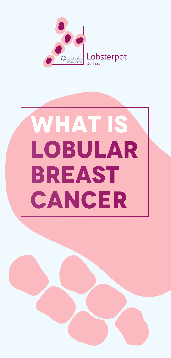

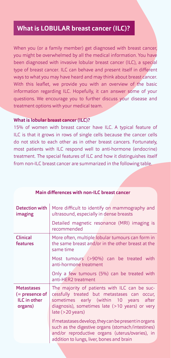## **What is LOBULAR breast cancer (ILC)?**

When you (or a family member) get diagnosed with breast cancer, you might be overwhelmed by all the medical information. You have been diagnosed with invasive lobular breast cancer (ILC), a special type of breast cancer. ILC can behave and present itself in different ways to what you may have heard and may think about breast cancer. With this leaflet, we provide you with an overview of the basic information regarding ILC. Hopefully, it can answer some of your questions. We encourage you to further discuss your disease and treatment options with your medical team.

### **What is lobular breast cancer (ILC)?**

15% of women with breast cancer have ILC. A typical feature of ILC is that it grows in rows of single cells because the cancer cells do not stick to each other as in other breast cancers. Fortunately, most patients with ILC respond well to anti-hormone (endocrine) treatment. The special features of ILC and how it distinguishes itself from non-ILC breast cancer are summarized in the following table.

| <b>Detection with</b><br>imaging                                         | More difficult to identify on mammography and<br>ultrasound, especially in dense breasts                                                                                                                       |
|--------------------------------------------------------------------------|----------------------------------------------------------------------------------------------------------------------------------------------------------------------------------------------------------------|
|                                                                          | Detailed magnetic resonance (MRI) imaging is<br>recommended                                                                                                                                                    |
| <b>Clinical</b><br>features                                              | More often, multiple lobular tumours can form in<br>the same breast and/or in the other breast at the<br>same time                                                                                             |
|                                                                          | Most tumours (>90%) can be treated with<br>anti-hormone treatment                                                                                                                                              |
|                                                                          | Only a few tumours (5%) can be treated with<br>anti-HER2 treatment                                                                                                                                             |
| <b>Metastases</b><br>$($ = presence of<br><b>ILC</b> in other<br>organs) | The majority of patients with ILC can be suc-<br>cessfully treated but metastases can occur,<br>sometimes early (within 10 years after<br>diagnosis), sometimes late $(>10$ years) or very<br>late (>20 years) |
|                                                                          | If metastases develop, they can be present in organs<br>such as the digestive organs (stomach/intestines)<br>and/or reproductive organs (uterus/ovaries), in<br>addition to lungs, liver, bones and brain      |

#### **Main differences with non-ILC breast cancer**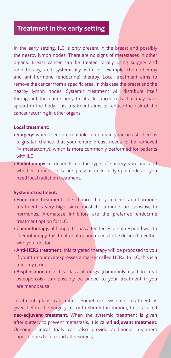## **Treatment in the early setting**

In the early setting, ILC is only present in the breast and possibly the nearby lymph nodes. There are no signs of metastases in other organs. Breast cancer can be treated locally using surgery and radiotherapy, and systemically with for example chemotherapy and anti-hormone (endocrine) therapy. Local treatment aims to remove the cancer from a specific area, in this case the breast and the nearby lymph nodes. Systemic treatment will distribute itself throughout the entire body to attack cancer cells that may have spread in the body. This treatment aims to reduce the risk of the cancer recurring in other organs.

### **Local treatment:**

- Surgery: when there are multiple tumours in your breast, there is a greater chance that your entire breast needs to be removed (= mastectomy), which is more commonly performed for patients with II<sub>C</sub>
- Radiotherapy: it depends on the type of surgery you had and whether tumour cells are present in local lymph nodes if you need local radiation treatment.

#### **Systemic treatment:**

- Endocrine treatment: the chance that you need anti-hormone treatment is very high, since most ILC tumours are sensitive to hormones. Aromatase inhibitors are the preferred endocrine treatment option for ILC.
- Chemotherapy: although ILC has a tendency to not respond well to chemotherapy, this treatment option needs to be decided together with your doctor.
- Anti-HER2 treatment: this targeted therapy will be proposed to you if your tumour overexpresses a marker called HER2. In ILC, this is a minority group.
- Bisphosphonates: this class of drugs (commonly used to treat osteoporosis) can possibly be added to your treatment if you are menopausal.

Treatment plans can differ. Sometimes systemic treatment is given before the surgery to try to shrink the tumour, this is called **neo-adjuvant treatment**. When the systemic treatment is given after surgery to prevent metastasis, it is called **adjuvant treatment**. Ongoing clinical trials can also provide additional treatment opportunities before and after surgery.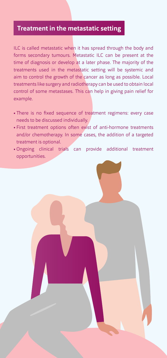### **Treatment in the metastatic setting**

ILC is called metastatic when it has spread through the body and forms secondary tumours. Metastatic ILC can be present at the time of diagnosis or develop at a later phase. The majority of the treatments used in the metastatic setting will be systemic and aim to control the growth of the cancer as long as possible. Local treatments like surgery and radiotherapy can be used to obtain local control of some metastases. This can help in giving pain relief for example.

- There is no fixed sequence of treatment regimens: every case needs to be discussed individually.
- First treatment options often exist of anti-hormone treatments and/or chemotherapy. In some cases, the addition of a targeted treatment is optional.
- Ongoing clinical trials can provide additional treatment opportunities.

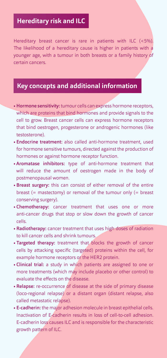# **Hereditary risk and ILC**

Hereditary breast cancer is rare in patients with ILC (<5%). The likelihood of a hereditary cause is higher in patients with a younger age, with a tumour in both breasts or a family history of certain cancers.

### **Key concepts and additional information**

- Hormone sensitivity: tumour cells can express hormone receptors, which are proteins that bind hormones and provide signals to the cell to grow. Breast cancer cells can express hormone receptors that bind oestrogen, progesterone or androgenic hormones (like testosterone).
- Endocrine treatment: also called anti-hormone treatment, used for hormone sensitive tumours, directed against the production of hormones or against hormone receptor function.
- Aromatase inhibitors: type of anti-hormone treatment that will reduce the amount of oestrogen made in the body of postmenopausal women.
- Breast surgery: this can consist of either removal of the entire breast (= mastectomy) or removal of the tumour only (= breast conserving surgery).
- Chemotherapy: cancer treatment that uses one or more anti-cancer drugs that stop or slow down the growth of cancer cells.
- Radiotherapy: cancer treatment that uses high doses of radiation to kill cancer cells and shrink tumours.
- Targeted therapy: treatment that blocks the growth of cancer cells by attacking specific (targeted) proteins within the cell, for example hormone receptors or the HER2 protein.
- Clinical trial: a study in which patients are assigned to one or more treatments (which may include placebo or other control) to evaluate the effects on the disease.
- Relapse: re-occurrence of disease at the side of primary disease (loco-regional relapse) or a distant organ (distant relapse, also called metastatic relapse).
- E-cadherin: the major adhesion molecule in breast epithelial cells. Inactivation of E-cadherin results in loss of cell-to-cell adhesion. E-cadherin loss causes ILC and is responsible for the characteristic growth pattern of ILC.